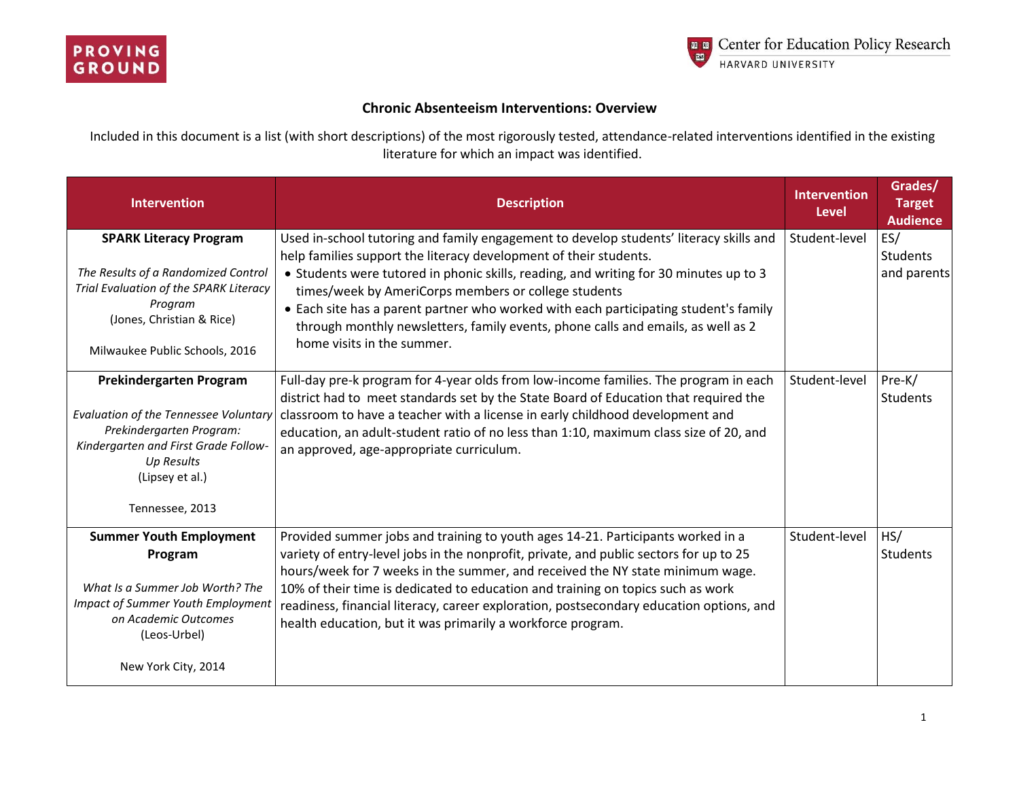

## **Chronic Absenteeism Interventions: Overview**

Included in this document is a list (with short descriptions) of the most rigorously tested, attendance-related interventions identified in the existing literature for which an impact was identified.

| <b>Intervention</b>                                                                                                                                                                                           | <b>Description</b>                                                                                                                                                                                                                                                                                                                                                                                                                                                                                      | <b>Intervention</b><br><b>Level</b> | Grades/<br><b>Target</b><br><b>Audience</b> |
|---------------------------------------------------------------------------------------------------------------------------------------------------------------------------------------------------------------|---------------------------------------------------------------------------------------------------------------------------------------------------------------------------------------------------------------------------------------------------------------------------------------------------------------------------------------------------------------------------------------------------------------------------------------------------------------------------------------------------------|-------------------------------------|---------------------------------------------|
| <b>SPARK Literacy Program</b>                                                                                                                                                                                 | Used in-school tutoring and family engagement to develop students' literacy skills and                                                                                                                                                                                                                                                                                                                                                                                                                  | Student-level                       | ES/                                         |
| The Results of a Randomized Control<br>Trial Evaluation of the SPARK Literacy<br>Program<br>(Jones, Christian & Rice)<br>Milwaukee Public Schools, 2016                                                       | help families support the literacy development of their students.<br>• Students were tutored in phonic skills, reading, and writing for 30 minutes up to 3<br>times/week by AmeriCorps members or college students<br>• Each site has a parent partner who worked with each participating student's family<br>through monthly newsletters, family events, phone calls and emails, as well as 2<br>home visits in the summer.                                                                            |                                     | <b>Students</b><br>and parents              |
| <b>Prekindergarten Program</b><br><b>Evaluation of the Tennessee Voluntary</b><br>Prekindergarten Program:<br>Kindergarten and First Grade Follow-<br><b>Up Results</b><br>(Lipsey et al.)<br>Tennessee, 2013 | Full-day pre-k program for 4-year olds from low-income families. The program in each<br>district had to meet standards set by the State Board of Education that required the<br>classroom to have a teacher with a license in early childhood development and<br>education, an adult-student ratio of no less than 1:10, maximum class size of 20, and<br>an approved, age-appropriate curriculum.                                                                                                      | Student-level                       | Pre-K/<br><b>Students</b>                   |
| <b>Summer Youth Employment</b><br>Program<br>What Is a Summer Job Worth? The<br><b>Impact of Summer Youth Employment</b><br>on Academic Outcomes<br>(Leos-Urbel)<br>New York City, 2014                       | Provided summer jobs and training to youth ages 14-21. Participants worked in a<br>variety of entry-level jobs in the nonprofit, private, and public sectors for up to 25<br>hours/week for 7 weeks in the summer, and received the NY state minimum wage.<br>10% of their time is dedicated to education and training on topics such as work<br>readiness, financial literacy, career exploration, postsecondary education options, and<br>health education, but it was primarily a workforce program. | Student-level                       | HS/<br><b>Students</b>                      |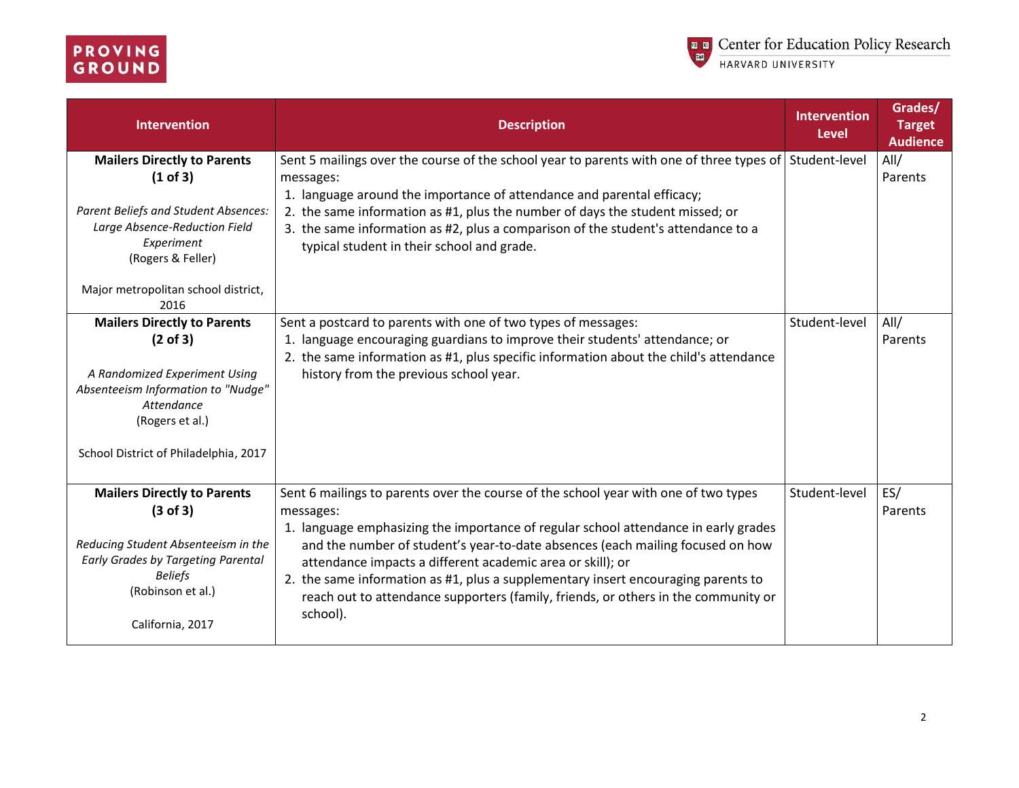

| <b>Intervention</b>                                                                                                                                                                                              | <b>Description</b>                                                                                                                                                                                                                                                                                                                                                                                                                                                                                                             | <b>Intervention</b><br><b>Level</b> | Grades/<br><b>Target</b><br><b>Audience</b> |
|------------------------------------------------------------------------------------------------------------------------------------------------------------------------------------------------------------------|--------------------------------------------------------------------------------------------------------------------------------------------------------------------------------------------------------------------------------------------------------------------------------------------------------------------------------------------------------------------------------------------------------------------------------------------------------------------------------------------------------------------------------|-------------------------------------|---------------------------------------------|
| <b>Mailers Directly to Parents</b><br>(1 of 3)<br><b>Parent Beliefs and Student Absences:</b><br>Large Absence-Reduction Field<br>Experiment<br>(Rogers & Feller)<br>Major metropolitan school district,<br>2016 | Sent 5 mailings over the course of the school year to parents with one of three types of Student-level<br>messages:<br>1. language around the importance of attendance and parental efficacy;<br>2. the same information as #1, plus the number of days the student missed; or<br>3. the same information as #2, plus a comparison of the student's attendance to a<br>typical student in their school and grade.                                                                                                              |                                     | All/<br>Parents                             |
| <b>Mailers Directly to Parents</b><br>$(2 \text{ of } 3)$<br>A Randomized Experiment Using<br>Absenteeism Information to "Nudge"<br>Attendance<br>(Rogers et al.)<br>School District of Philadelphia, 2017       | Sent a postcard to parents with one of two types of messages:<br>1. language encouraging guardians to improve their students' attendance; or<br>2. the same information as #1, plus specific information about the child's attendance<br>history from the previous school year.                                                                                                                                                                                                                                                | Student-level                       | All/<br>Parents                             |
| <b>Mailers Directly to Parents</b><br>(3 of 3)<br>Reducing Student Absenteeism in the<br><b>Early Grades by Targeting Parental</b><br><b>Beliefs</b><br>(Robinson et al.)<br>California, 2017                    | Sent 6 mailings to parents over the course of the school year with one of two types<br>messages:<br>1. language emphasizing the importance of regular school attendance in early grades<br>and the number of student's year-to-date absences (each mailing focused on how<br>attendance impacts a different academic area or skill); or<br>2. the same information as #1, plus a supplementary insert encouraging parents to<br>reach out to attendance supporters (family, friends, or others in the community or<br>school). | Student-level                       | ES/<br>Parents                              |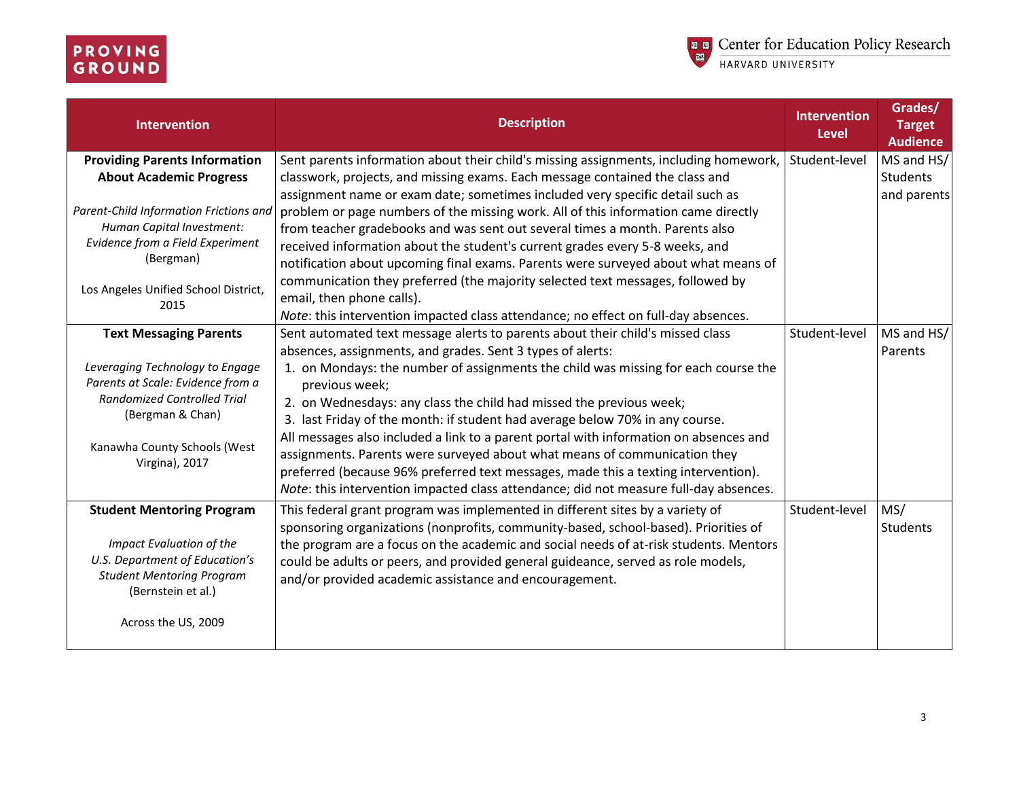

| <b>Intervention</b>                                                                                                                                                                     | <b>Description</b>                                                                                                                                                                                                                                                                                                                                                                                                                                                                                                                                                                                                                                                             | <b>Intervention</b><br><b>Level</b> | Grades/<br><b>Target</b><br><b>Audience</b> |
|-----------------------------------------------------------------------------------------------------------------------------------------------------------------------------------------|--------------------------------------------------------------------------------------------------------------------------------------------------------------------------------------------------------------------------------------------------------------------------------------------------------------------------------------------------------------------------------------------------------------------------------------------------------------------------------------------------------------------------------------------------------------------------------------------------------------------------------------------------------------------------------|-------------------------------------|---------------------------------------------|
| <b>Providing Parents Information</b>                                                                                                                                                    | Sent parents information about their child's missing assignments, including homework,                                                                                                                                                                                                                                                                                                                                                                                                                                                                                                                                                                                          | Student-level                       | MS and HS/                                  |
| <b>About Academic Progress</b>                                                                                                                                                          | classwork, projects, and missing exams. Each message contained the class and                                                                                                                                                                                                                                                                                                                                                                                                                                                                                                                                                                                                   |                                     | <b>Students</b>                             |
| Parent-Child Information Frictions and<br>Human Capital Investment:<br>Evidence from a Field Experiment                                                                                 | assignment name or exam date; sometimes included very specific detail such as<br>problem or page numbers of the missing work. All of this information came directly<br>from teacher gradebooks and was sent out several times a month. Parents also<br>received information about the student's current grades every 5-8 weeks, and                                                                                                                                                                                                                                                                                                                                            |                                     | and parents                                 |
| (Bergman)                                                                                                                                                                               | notification about upcoming final exams. Parents were surveyed about what means of                                                                                                                                                                                                                                                                                                                                                                                                                                                                                                                                                                                             |                                     |                                             |
| Los Angeles Unified School District,<br>2015                                                                                                                                            | communication they preferred (the majority selected text messages, followed by<br>email, then phone calls).<br>Note: this intervention impacted class attendance; no effect on full-day absences.                                                                                                                                                                                                                                                                                                                                                                                                                                                                              |                                     |                                             |
| <b>Text Messaging Parents</b>                                                                                                                                                           | Sent automated text message alerts to parents about their child's missed class                                                                                                                                                                                                                                                                                                                                                                                                                                                                                                                                                                                                 | Student-level                       | MS and HS/                                  |
| Leveraging Technology to Engage<br>Parents at Scale: Evidence from a<br><b>Randomized Controlled Trial</b><br>(Bergman & Chan)<br>Kanawha County Schools (West<br><b>Virgina), 2017</b> | absences, assignments, and grades. Sent 3 types of alerts:<br>1. on Mondays: the number of assignments the child was missing for each course the<br>previous week;<br>2. on Wednesdays: any class the child had missed the previous week;<br>3. last Friday of the month: if student had average below 70% in any course.<br>All messages also included a link to a parent portal with information on absences and<br>assignments. Parents were surveyed about what means of communication they<br>preferred (because 96% preferred text messages, made this a texting intervention).<br>Note: this intervention impacted class attendance; did not measure full-day absences. |                                     | Parents                                     |
| <b>Student Mentoring Program</b><br>Impact Evaluation of the<br>U.S. Department of Education's<br><b>Student Mentoring Program</b><br>(Bernstein et al.)<br>Across the US, 2009         | This federal grant program was implemented in different sites by a variety of<br>sponsoring organizations (nonprofits, community-based, school-based). Priorities of<br>the program are a focus on the academic and social needs of at-risk students. Mentors<br>could be adults or peers, and provided general guideance, served as role models,<br>and/or provided academic assistance and encouragement.                                                                                                                                                                                                                                                                    | Student-level                       | MS/<br><b>Students</b>                      |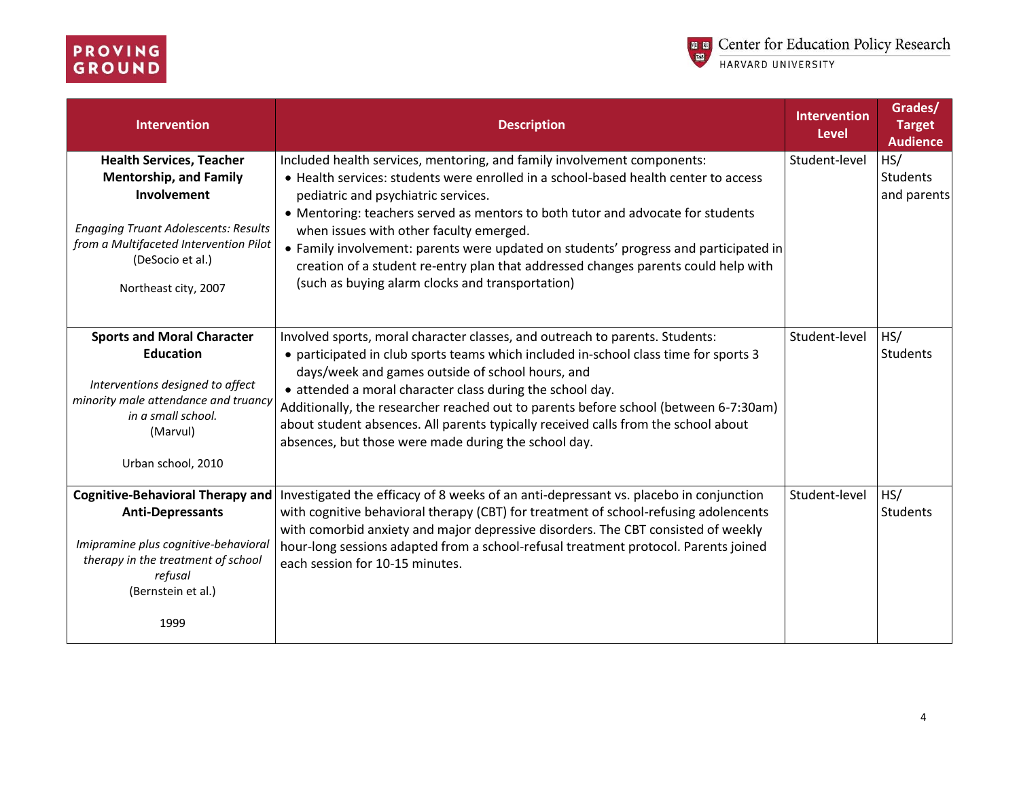

| <b>Intervention</b>                                                                                                                                                                                                  | <b>Description</b>                                                                                                                                                                                                                                                                                                                                                                                                                                                                                                                                                    | Intervention<br><b>Level</b> | Grades/<br><b>Target</b><br><b>Audience</b> |
|----------------------------------------------------------------------------------------------------------------------------------------------------------------------------------------------------------------------|-----------------------------------------------------------------------------------------------------------------------------------------------------------------------------------------------------------------------------------------------------------------------------------------------------------------------------------------------------------------------------------------------------------------------------------------------------------------------------------------------------------------------------------------------------------------------|------------------------------|---------------------------------------------|
| <b>Health Services, Teacher</b><br><b>Mentorship, and Family</b><br>Involvement<br><b>Engaging Truant Adolescents: Results</b><br>from a Multifaceted Intervention Pilot<br>(DeSocio et al.)<br>Northeast city, 2007 | Included health services, mentoring, and family involvement components:<br>• Health services: students were enrolled in a school-based health center to access<br>pediatric and psychiatric services.<br>• Mentoring: teachers served as mentors to both tutor and advocate for students<br>when issues with other faculty emerged.<br>• Family involvement: parents were updated on students' progress and participated in<br>creation of a student re-entry plan that addressed changes parents could help with<br>(such as buying alarm clocks and transportation) | Student-level                | HS/<br><b>Students</b><br>and parents       |
| <b>Sports and Moral Character</b><br><b>Education</b><br>Interventions designed to affect<br>minority male attendance and truancy<br>in a small school.<br>(Marvul)<br>Urban school, 2010                            | Involved sports, moral character classes, and outreach to parents. Students:<br>• participated in club sports teams which included in-school class time for sports 3<br>days/week and games outside of school hours, and<br>• attended a moral character class during the school day.<br>Additionally, the researcher reached out to parents before school (between 6-7:30am)<br>about student absences. All parents typically received calls from the school about<br>absences, but those were made during the school day.                                           | Student-level                | HS/<br><b>Students</b>                      |
| <b>Cognitive-Behavioral Therapy and</b><br><b>Anti-Depressants</b><br>Imipramine plus cognitive-behavioral<br>therapy in the treatment of school<br>refusal<br>(Bernstein et al.)<br>1999                            | Investigated the efficacy of 8 weeks of an anti-depressant vs. placebo in conjunction<br>with cognitive behavioral therapy (CBT) for treatment of school-refusing adolencents<br>with comorbid anxiety and major depressive disorders. The CBT consisted of weekly<br>hour-long sessions adapted from a school-refusal treatment protocol. Parents joined<br>each session for 10-15 minutes.                                                                                                                                                                          | Student-level                | HS/<br><b>Students</b>                      |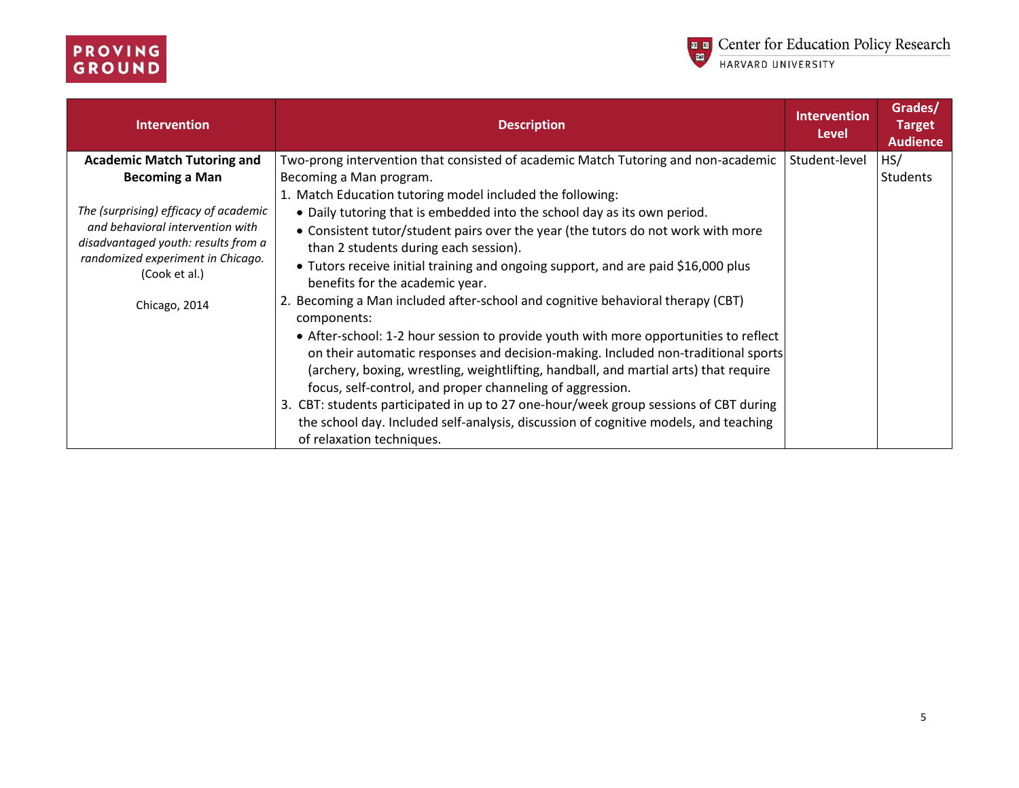

| <b>Intervention</b>                                                                                                                                                                                                                                    | <b>Description</b>                                                                                                                                                                                                                                                                                                                                                                                                                                                                                                                                                                                                                                                                                                                                                                                                                                                                                                                                                                                                                                                                                                            | <b>Intervention</b><br>Level | Grades/<br><b>Target</b><br><b>Audience</b> |
|--------------------------------------------------------------------------------------------------------------------------------------------------------------------------------------------------------------------------------------------------------|-------------------------------------------------------------------------------------------------------------------------------------------------------------------------------------------------------------------------------------------------------------------------------------------------------------------------------------------------------------------------------------------------------------------------------------------------------------------------------------------------------------------------------------------------------------------------------------------------------------------------------------------------------------------------------------------------------------------------------------------------------------------------------------------------------------------------------------------------------------------------------------------------------------------------------------------------------------------------------------------------------------------------------------------------------------------------------------------------------------------------------|------------------------------|---------------------------------------------|
| <b>Academic Match Tutoring and</b><br><b>Becoming a Man</b><br>The (surprising) efficacy of academic<br>and behavioral intervention with<br>disadvantaged youth: results from a<br>randomized experiment in Chicago.<br>(Cook et al.)<br>Chicago, 2014 | Two-prong intervention that consisted of academic Match Tutoring and non-academic<br>Becoming a Man program.<br>1. Match Education tutoring model included the following:<br>• Daily tutoring that is embedded into the school day as its own period.<br>• Consistent tutor/student pairs over the year (the tutors do not work with more<br>than 2 students during each session).<br>• Tutors receive initial training and ongoing support, and are paid \$16,000 plus<br>benefits for the academic year.<br>2. Becoming a Man included after-school and cognitive behavioral therapy (CBT)<br>components:<br>• After-school: 1-2 hour session to provide youth with more opportunities to reflect<br>on their automatic responses and decision-making. Included non-traditional sports<br>(archery, boxing, wrestling, weightlifting, handball, and martial arts) that require<br>focus, self-control, and proper channeling of aggression.<br>3. CBT: students participated in up to 27 one-hour/week group sessions of CBT during<br>the school day. Included self-analysis, discussion of cognitive models, and teaching | Student-level                | HS/<br><b>Students</b>                      |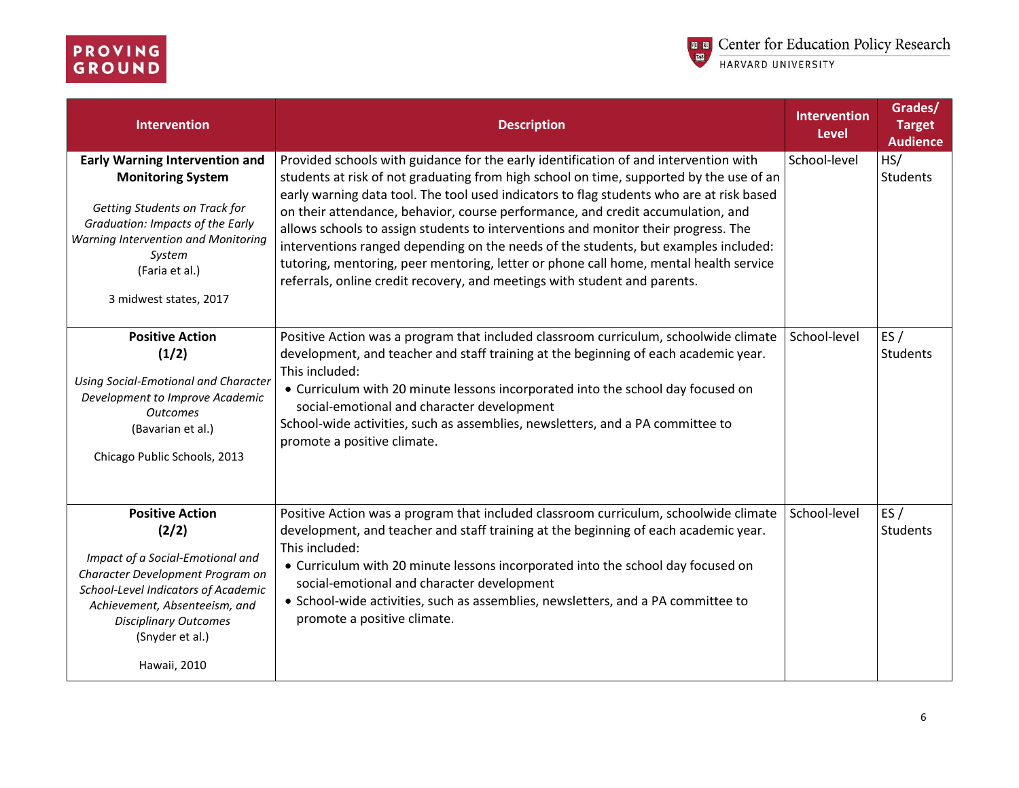

| <b>Intervention</b>                                                                                                                                                                                                                                | <b>Description</b>                                                                                                                                                                                                                                                                                                                                                                                                                                                                                                                                                                                                                                                                                                | <b>Intervention</b><br><b>Level</b> | Grades/<br><b>Target</b><br><b>Audience</b> |
|----------------------------------------------------------------------------------------------------------------------------------------------------------------------------------------------------------------------------------------------------|-------------------------------------------------------------------------------------------------------------------------------------------------------------------------------------------------------------------------------------------------------------------------------------------------------------------------------------------------------------------------------------------------------------------------------------------------------------------------------------------------------------------------------------------------------------------------------------------------------------------------------------------------------------------------------------------------------------------|-------------------------------------|---------------------------------------------|
| <b>Early Warning Intervention and</b><br><b>Monitoring System</b><br>Getting Students on Track for<br>Graduation: Impacts of the Early<br>Warning Intervention and Monitoring<br>System<br>(Faria et al.)<br>3 midwest states, 2017                | Provided schools with guidance for the early identification of and intervention with<br>students at risk of not graduating from high school on time, supported by the use of an<br>early warning data tool. The tool used indicators to flag students who are at risk based<br>on their attendance, behavior, course performance, and credit accumulation, and<br>allows schools to assign students to interventions and monitor their progress. The<br>interventions ranged depending on the needs of the students, but examples included:<br>tutoring, mentoring, peer mentoring, letter or phone call home, mental health service<br>referrals, online credit recovery, and meetings with student and parents. | School-level                        | HS/<br>Students                             |
| <b>Positive Action</b><br>(1/2)<br><b>Using Social-Emotional and Character</b><br>Development to Improve Academic<br><b>Outcomes</b><br>(Bavarian et al.)<br>Chicago Public Schools, 2013                                                          | Positive Action was a program that included classroom curriculum, schoolwide climate<br>development, and teacher and staff training at the beginning of each academic year.<br>This included:<br>• Curriculum with 20 minute lessons incorporated into the school day focused on<br>social-emotional and character development<br>School-wide activities, such as assemblies, newsletters, and a PA committee to<br>promote a positive climate.                                                                                                                                                                                                                                                                   | School-level                        | ES/<br>Students                             |
| <b>Positive Action</b><br>(2/2)<br>Impact of a Social-Emotional and<br>Character Development Program on<br>School-Level Indicators of Academic<br>Achievement, Absenteeism, and<br><b>Disciplinary Outcomes</b><br>(Snyder et al.)<br>Hawaii, 2010 | Positive Action was a program that included classroom curriculum, schoolwide climate<br>development, and teacher and staff training at the beginning of each academic year.<br>This included:<br>• Curriculum with 20 minute lessons incorporated into the school day focused on<br>social-emotional and character development<br>• School-wide activities, such as assemblies, newsletters, and a PA committee to<br>promote a positive climate.                                                                                                                                                                                                                                                                 | School-level                        | ES/<br>Students                             |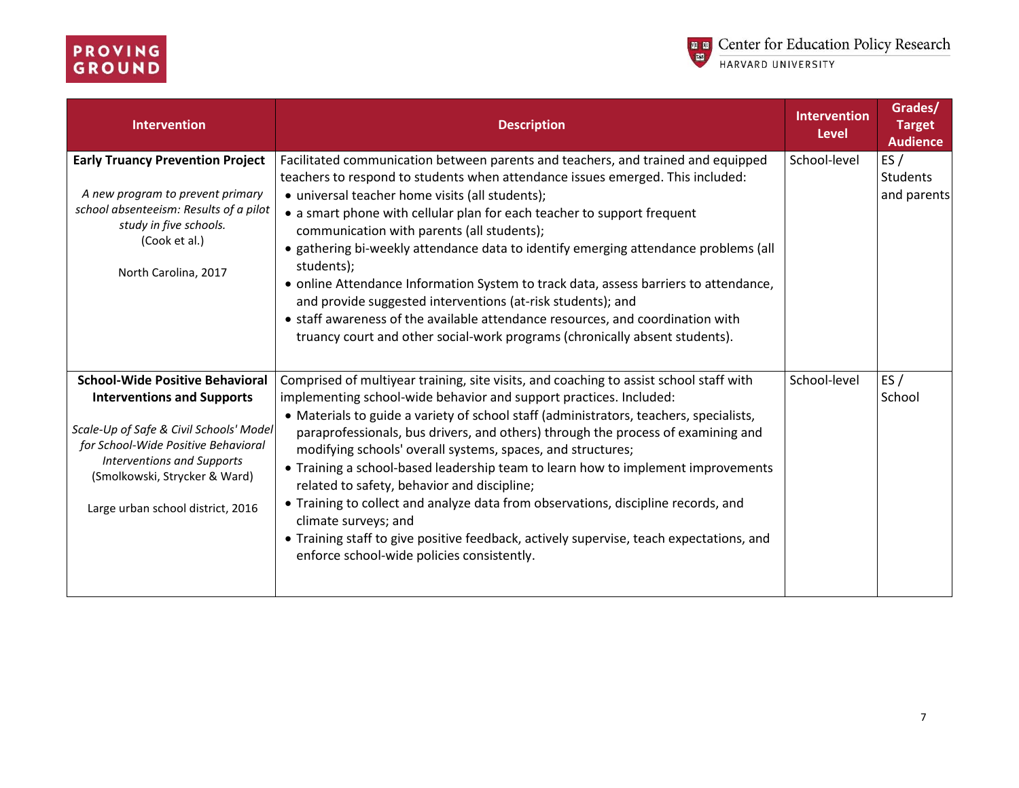

| <b>Intervention</b>                                                                                                                                                                                                                                                      | <b>Description</b>                                                                                                                                                                                                                                                                                                                                                                                                                                                                                                                                                                                                                                                                                                                                                                                 | <b>Intervention</b><br><b>Level</b> | Grades/<br><b>Target</b><br><b>Audience</b> |
|--------------------------------------------------------------------------------------------------------------------------------------------------------------------------------------------------------------------------------------------------------------------------|----------------------------------------------------------------------------------------------------------------------------------------------------------------------------------------------------------------------------------------------------------------------------------------------------------------------------------------------------------------------------------------------------------------------------------------------------------------------------------------------------------------------------------------------------------------------------------------------------------------------------------------------------------------------------------------------------------------------------------------------------------------------------------------------------|-------------------------------------|---------------------------------------------|
| <b>Early Truancy Prevention Project</b><br>A new program to prevent primary<br>school absenteeism: Results of a pilot<br>study in five schools.<br>(Cook et al.)<br>North Carolina, 2017                                                                                 | Facilitated communication between parents and teachers, and trained and equipped<br>teachers to respond to students when attendance issues emerged. This included:<br>• universal teacher home visits (all students);<br>• a smart phone with cellular plan for each teacher to support frequent<br>communication with parents (all students);<br>• gathering bi-weekly attendance data to identify emerging attendance problems (all<br>students);<br>. online Attendance Information System to track data, assess barriers to attendance,<br>and provide suggested interventions (at-risk students); and<br>• staff awareness of the available attendance resources, and coordination with<br>truancy court and other social-work programs (chronically absent students).                        | School-level                        | ES/<br><b>Students</b><br>and parents       |
| <b>School-Wide Positive Behavioral</b><br><b>Interventions and Supports</b><br>Scale-Up of Safe & Civil Schools' Model<br>for School-Wide Positive Behavioral<br><b>Interventions and Supports</b><br>(Smolkowski, Strycker & Ward)<br>Large urban school district, 2016 | Comprised of multiyear training, site visits, and coaching to assist school staff with<br>implementing school-wide behavior and support practices. Included:<br>• Materials to guide a variety of school staff (administrators, teachers, specialists,<br>paraprofessionals, bus drivers, and others) through the process of examining and<br>modifying schools' overall systems, spaces, and structures;<br>• Training a school-based leadership team to learn how to implement improvements<br>related to safety, behavior and discipline;<br>• Training to collect and analyze data from observations, discipline records, and<br>climate surveys; and<br>• Training staff to give positive feedback, actively supervise, teach expectations, and<br>enforce school-wide policies consistently. | School-level                        | ES/<br>School                               |